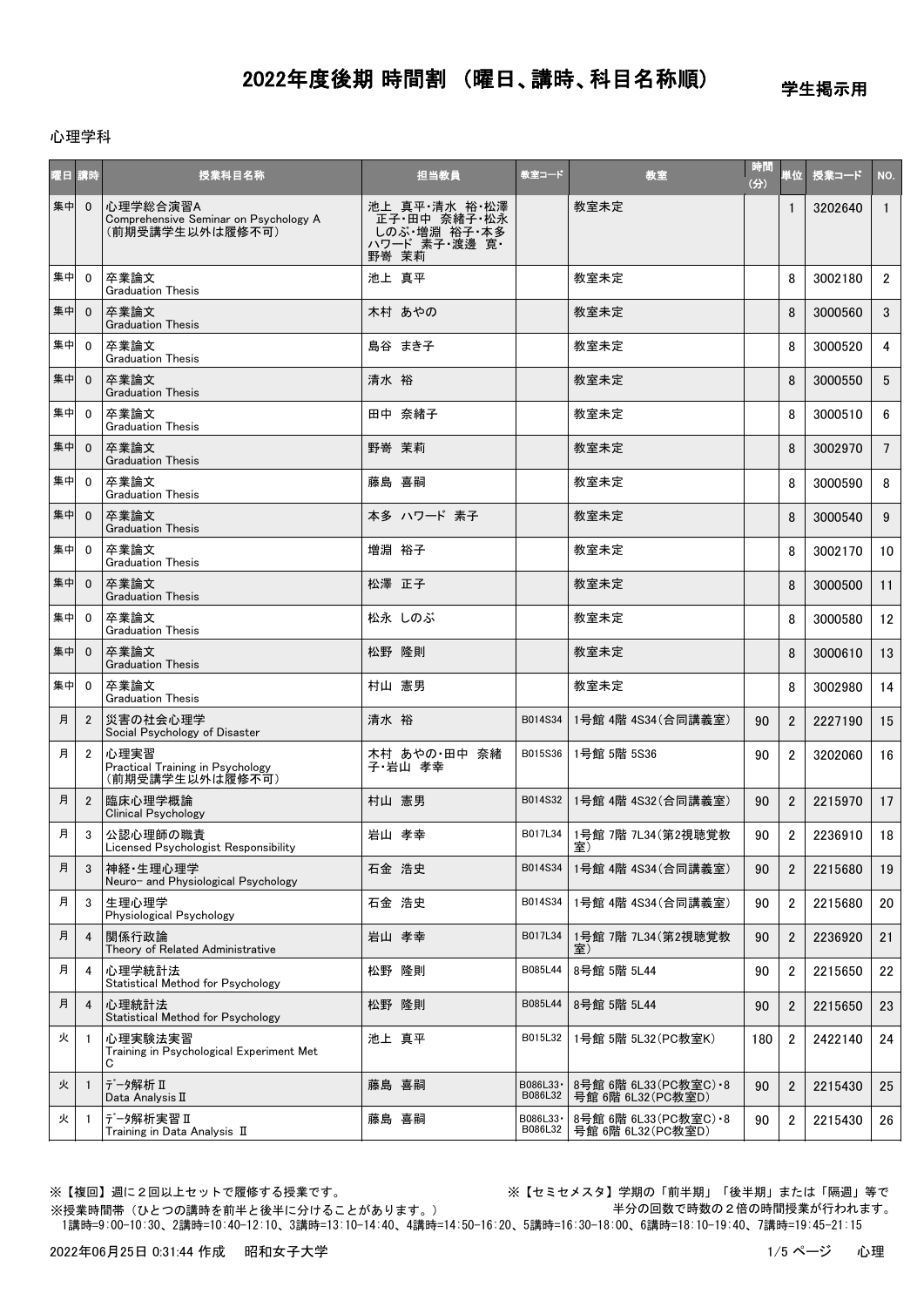学生掲示用

#### 心理学科

| 曜日講時 |                | 授業科目名称                                                               | 担当教員                                                                     | 教室コード                | 教室                                            | 時間<br>(分) | 単位             | 授業コード   | NO.             |
|------|----------------|----------------------------------------------------------------------|--------------------------------------------------------------------------|----------------------|-----------------------------------------------|-----------|----------------|---------|-----------------|
| 集中   | $\mathbf{0}$   | 心理学総合演習A<br>Comprehensive Seminar on Psychology A<br>(前期受講学生以外は履修不可) | 池上 真平·清水 裕·松澤<br>正子·田中 奈緒子·松永<br>- しのぶ 増淵 裕子・本多<br>ハワード 素子 渡邊 寛<br>野嵜 茉莉 |                      | 教室未定                                          |           | $\mathbf{1}$   | 3202640 | $\mathbf{1}$    |
| 集中   | $\mathbf 0$    | 卒業論文<br><b>Graduation Thesis</b>                                     | 池上 真平                                                                    |                      | 教室未定                                          |           | 8              | 3002180 | $\mathbf{2}$    |
| 集中   | $\mathbf{0}$   | 卒業論文<br><b>Graduation Thesis</b>                                     | 木村 あやの                                                                   |                      | 教室未定                                          |           | 8              | 3000560 | 3               |
| 集中   | $\mathbf{0}$   | 卒業論文<br><b>Graduation Thesis</b>                                     | 島谷 まき子                                                                   |                      | 教室未定                                          |           | 8              | 3000520 | 4               |
| 集中   | $\mathbf{0}$   | 卒業論文<br><b>Graduation Thesis</b>                                     | 清水 裕                                                                     |                      | 教室未定                                          |           | 8              | 3000550 | 5               |
| 集中   | $\mathbf 0$    | 卒業論文<br><b>Graduation Thesis</b>                                     | 田中 奈緒子                                                                   |                      | 教室未定                                          |           | 8              | 3000510 | 6               |
| 集中   | $\overline{0}$ | 卒業論文<br><b>Graduation Thesis</b>                                     | 野嵜 茉莉                                                                    |                      | 教室未定                                          |           | 8              | 3002970 | $7\overline{ }$ |
| 集中   | $\mathbf{0}$   | 卒業論文<br><b>Graduation Thesis</b>                                     | 藤島 喜嗣                                                                    |                      | 教室未定                                          |           | 8              | 3000590 | 8               |
| 集中   | $\mathbf{0}$   | 卒業論文<br><b>Graduation Thesis</b>                                     | 本多 ハワード 素子                                                               |                      | 教室未定                                          |           | 8              | 3000540 | 9               |
| 集中   | $\mathbf{0}$   | 卒業論文<br><b>Graduation Thesis</b>                                     | 増淵 裕子                                                                    |                      | 教室未定                                          |           | 8              | 3002170 | 10              |
| 集中   | $\mathbf{0}$   | 卒業論文<br><b>Graduation Thesis</b>                                     | 松澤 正子                                                                    |                      | 教室未定                                          |           | 8              | 3000500 | 11              |
| 集中   | $\mathbf{0}$   | 卒業論文<br><b>Graduation Thesis</b>                                     | 松永 しのぶ                                                                   |                      | 教室未定                                          |           | 8              | 3000580 | 12              |
| 集中   | $\overline{0}$ | 卒業論文<br><b>Graduation Thesis</b>                                     | 松野 隆則                                                                    |                      | 教室未定                                          |           | 8              | 3000610 | 13              |
| 集中   | $\mathbf 0$    | 卒業論文<br><b>Graduation Thesis</b>                                     | 村山 憲男                                                                    |                      | 教室未定                                          |           | 8              | 3002980 | 14              |
| 月    | $\overline{2}$ | 災害の社会心理学<br>Social Psychology of Disaster                            | 清水 裕                                                                     | B014S34              | 1号館 4階 4S34 (合同講義室)                           | 90        | $\overline{2}$ | 2227190 | 15              |
| 月    | $\overline{2}$ | 心理実習<br>Practical Training in Psychology<br>(前期受講学生以外は履修不可)          | 木村 あやの・田中 奈緒<br>子·岩山 孝幸                                                  | B015S36              | 1号館 5階 5S36                                   | 90        | 2              | 3202060 | 16              |
| 月    | $\overline{2}$ | 臨床心理学概論<br><b>Clinical Psychology</b>                                | 村山 憲男                                                                    | B014S32              | 1号館 4階 4S32(合同講義室)                            | 90        | $\overline{2}$ | 2215970 | 17              |
| 月    | 3              | 公認心理師の職責<br>Licensed Psychologist Responsibility                     | 岩山 孝幸                                                                    | B017L34              | 1号館 7階 7L34(第2視聴覚教<br>室)                      | 90        | $\overline{2}$ | 2236910 | 18              |
| 月    | 3              | 神経·生理心理学<br>Neuro- and Physiological Psychology                      | 石金 浩史                                                                    | B014S34              | 1号館 4階 4S34(合同講義室)                            | 90        | $\overline{2}$ | 2215680 | 19              |
| 月    | 3              | 生理心理学<br>Physiological Psychology                                    | 石金 浩史                                                                    | B014S34              | 1号館 4階 4S34 (合同講義室)                           | 90        | $\overline{2}$ | 2215680 | 20              |
| 月    | 4              | 関係行政論<br>Theory of Related Administrative                            | 岩山 孝幸                                                                    | B017L34              | 1号館 7階 7L34(第2視聴覚教<br>室)                      | 90        | $\overline{2}$ | 2236920 | 21              |
| 月    | 4              | 心理学統計法<br>Statistical Method for Psychology                          | 松野 隆則                                                                    | B085L44              | 8号館 5階 5L44                                   | 90        | $\overline{2}$ | 2215650 | 22              |
| 月    | $\overline{4}$ | 心理統計法<br>Statistical Method for Psychology                           | 松野 隆則                                                                    | B085L44              | 8号館 5階 5L44                                   | 90        | $\overline{2}$ | 2215650 | 23              |
| 火    | $\overline{1}$ | 心理実験法実習<br>Training in Psychological Experiment Met<br>С             | 池上 真平                                                                    | B015L32              | 1号館 5階 5L32(PC教室K)                            | 180       | $\overline{2}$ | 2422140 | 24              |
| 火    | $\mathbf{1}$   | データ解析 II<br>Data Analysis II                                         | 藤島 喜嗣                                                                    | B086L33-<br>B086L32  | 8号館 6階 6L33 (PC教室C) • 8<br>号館 6階 6L32 (PC教室D) | 90        | $\overline{2}$ | 2215430 | 25              |
| 火    | -1             | データ解析実習 II<br>Training in Data Analysis II                           | 藤島 喜嗣                                                                    | B086L33 ·<br>B086L32 | 8号館 6階 6L33 (PC教室C) • 8<br>号館 6階 6L32 (PC教室D) | 90        | 2              | 2215430 | 26              |

※授業時間帯(ひとつの講時を前半と後半に分けることがあります。)

※【複回】週に2回以上セットで履修する授業です。 ※【セミセメスタ】学期の「前半期」「後半期」または「隔週」等で 半分の回数で時数の2倍の時間授業が行われます。

1講時=9:00-10:30、2講時=10:40-12:10、3講時=13:10-14:40、4講時=14:50-16:20、5講時=16:30-18:00、6講時=18:10-19:40、7講時=19:45-21:15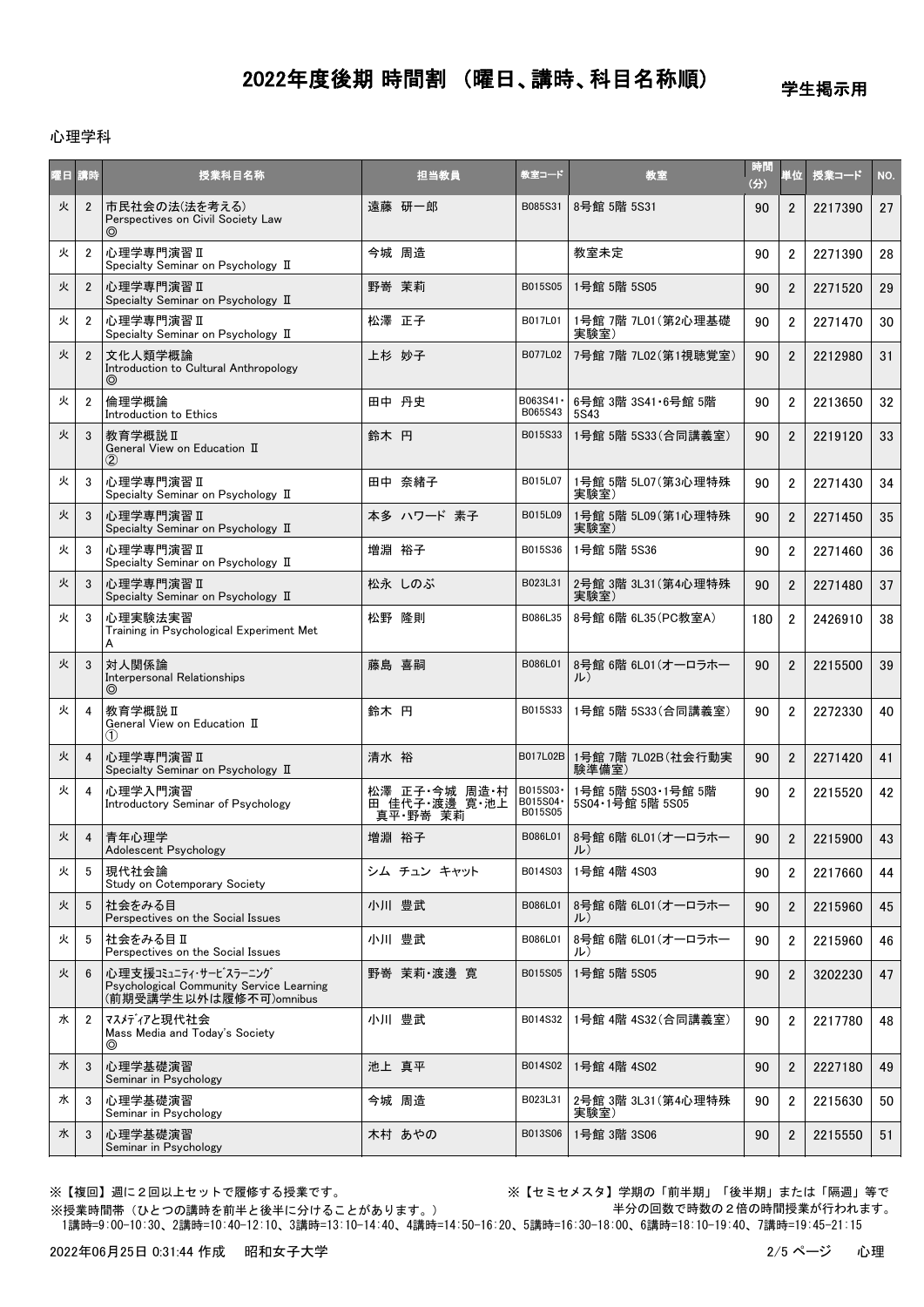学生掲示用

#### 心理学科

| 曜日 講時 |                | 授業科目名称                                                                                     |      | 担当教員                                       | 教室コード                            | 教室                                       | 時間<br>(分) | 単位             | 授業コード   | NO. |
|-------|----------------|--------------------------------------------------------------------------------------------|------|--------------------------------------------|----------------------------------|------------------------------------------|-----------|----------------|---------|-----|
| 火     | $\overline{2}$ | 市民社会の法(法を考える)<br>Perspectives on Civil Society Law                                         |      | 遠藤 研一郎                                     | B085S31                          | 8号館 5階 5S31                              | 90        | $\overline{2}$ | 2217390 | 27  |
| 火     | $\overline{2}$ | <b>心理学専門演習 II</b><br>Specialty Seminar on Psychology II                                    |      | 今城 周造                                      |                                  | 教室未定                                     | 90        | $\overline{2}$ | 2271390 | 28  |
| 火     | $\overline{2}$ | 心理学専門演習Ⅱ<br>Specialty Seminar on Psychology II                                             |      | 野嵜 茉莉                                      | B015S05                          | 1号館 5階 5S05                              | 90        | $\overline{2}$ | 2271520 | 29  |
| 火     | $\overline{2}$ | 心理学専門演習 II<br>Specialty Seminar on Psychology II                                           |      | 松澤 正子                                      | B017L01                          | 1号館 7階 7L01 (第2心理基礎<br>実験室)              | 90        | $\overline{2}$ | 2271470 | 30  |
| 火     | $\overline{2}$ | 文化人類学概論<br>Introduction to Cultural Anthropology<br>◎                                      |      | 上杉 妙子                                      | B077L02                          | 7号館 7階 7L02(第1視聴覚室)                      | 90        | $\overline{2}$ | 2212980 | 31  |
| 火     | $\overline{2}$ | 倫理学概論<br>Introduction to Ethics                                                            |      | 田中 丹史                                      | B063S41 ·<br>B065S43             | 6号館 3階 3S41 · 6号館 5階<br>5S43             | 90        | $\overline{2}$ | 2213650 | 32  |
| 火     | 3              | 教育学概説Ⅱ<br>General View on Education II<br>$\circled2$                                      | 鈴木 円 |                                            | B015S33                          | 1号館 5階 5S33(合同講義室)                       | 90        | $\overline{2}$ | 2219120 | 33  |
| 火     | 3              | <b>心理学専門演習 II</b><br>Specialty Seminar on Psychology II                                    |      | 田中 奈緒子                                     | B015L07                          | 1号館 5階 5L07 (第3心理特殊<br>実験室)              | 90        | $\overline{2}$ | 2271430 | 34  |
| 火     | 3              | 心理学専門演習 II<br>Specialty Seminar on Psychology II                                           |      | 本多 ハワード 素子                                 | B015L09                          | 1号館 5階 5L09 (第1心理特殊<br>実験室)              | 90        | $\overline{2}$ | 2271450 | 35  |
| 火     | 3              | 心理学専門演習Ⅱ<br>Specialty Seminar on Psychology II                                             |      | 増淵 裕子                                      | B015S36                          | 1号館 5階 5S36                              | 90        | $\overline{2}$ | 2271460 | 36  |
| 火     | 3              | 心理学専門演習 II<br>Specialty Seminar on Psychology II                                           |      | 松永しのぶ                                      | B023L31                          | 2号館 3階 3L31 (第4心理特殊<br>実験室)              | 90        | $\overline{2}$ | 2271480 | 37  |
| 火     | 3              | 心理実験法実習<br>Training in Psychological Experiment Met<br>A                                   |      | 松野 隆則                                      | B086L35                          | 8号館 6階 6L35 (PC教室A)                      | 180       | $\overline{2}$ | 2426910 | 38  |
| 火     | 3              | 対人関係論<br>Interpersonal Relationships<br>$\circledcirc$                                     |      | 藤島 喜嗣                                      | B086L01                          | 8号館 6階 6L01 (オーロラホー<br>ル)                | 90        | $\overline{2}$ | 2215500 | 39  |
| 火     | 4              | 教育学概説 II<br>General View on Education II<br>(1)                                            | 鈴木 円 |                                            | B015S33                          | 1号館 5階 5S33(合同講義室)                       | 90        | $\overline{2}$ | 2272330 | 40  |
| 火     | 4              | 心理学専門演習 II<br>Specialty Seminar on Psychology II                                           | 清水 裕 |                                            | B017L02B                         | 1号館 7階 7L02B(社会行動実<br>験準備室)              | 90        | $\overline{2}$ | 2271420 | 41  |
| 火     | 4              | 心理学入門演習<br>Introductory Seminar of Psychology                                              |      | 松澤 正子·今城 周造·村<br>田 佳代子 渡邊 寛 池上<br>真平 野嵜 茉莉 | B015S03-<br>B015S04 ·<br>B015S05 | 1号館 5階 5S03·1号館 5階<br>5S04 · 1号館 5階 5S05 | 90        | $\overline{2}$ | 2215520 | 42  |
| 火     | 4              | 青年心理学<br>Adolescent Psychology                                                             |      | 増淵 裕子                                      | B086L01                          | 8号館 6階 6L01(オーロラホー<br>ル)                 | 90        | $\overline{2}$ | 2215900 | 43  |
| 火     | 5              | 現代社会論<br>Study on Cotemporary Society                                                      |      | シム チュン キャット                                | B014S03                          | 1号館 4階 4S03                              | 90        | $\overline{2}$ | 2217660 | 44  |
| 火     | 5              | 社会をみる目<br>Perspectives on the Social Issues                                                |      | 小川 豊武                                      | B086L01                          | 8号館 6階 6L01 (オーロラホー<br>ル)                | 90        | $\overline{2}$ | 2215960 | 45  |
| 火     | 5              | 社会をみる目Ⅱ<br>Perspectives on the Social Issues                                               |      | 小川 豊武                                      | B086L01                          | 8号館 6階 6L01 (オーロラホー<br>ル)                | 90        | $\overline{2}$ | 2215960 | 46  |
| 火     | 6              | 心理支援コミュニティ・サービスラーニング<br>Psychological Community Service Learning<br>(前期受講学生以外は履修不可)omnibus |      | 野嵜 茉莉 渡邊 寛                                 | B015S05                          | 1号館 5階 5S05                              | 90        | 2              | 3202230 | 47  |
| 水     | $\overline{2}$ | マスメディアと現代社会<br>Mass Media and Today's Society<br>⊚                                         |      | 小川 豊武                                      | B014S32                          | 1号館 4階 4S32(合同講義室)                       | 90        | $\overline{2}$ | 2217780 | 48  |
| 水     | 3              | 心理学基礎演習<br>Seminar in Psychology                                                           |      | 池上 真平                                      | B014S02                          | 1号館 4階 4S02                              | 90        | $\overline{2}$ | 2227180 | 49  |
| 水     | 3              | 心理学基礎演習<br>Seminar in Psychology                                                           |      | 今城 周造                                      | B023L31                          | 2号館 3階 3L31 (第4心理特殊<br>実験室)              | 90        | $\overline{2}$ | 2215630 | 50  |
| 水     | 3              | 心理学基礎演習<br>Seminar in Psychology                                                           |      | 木村 あやの                                     | B013S06                          | 1号館 3階 3S06                              | 90        | $\overline{2}$ | 2215550 | 51  |

※授業時間帯(ひとつの講時を前半と後半に分けることがあります。)

※【複回】週に2回以上セットで履修する授業です。 ※【セミセメスタ】学期の「前半期」「後半期」または「隔週」等で 半分の回数で時数の2倍の時間授業が行われます。

1講時=9:00-10:30、2講時=10:40-12:10、3講時=13:10-14:40、4講時=14:50-16:20、5講時=16:30-18:00、6講時=18:10-19:40、7講時=19:45-21:15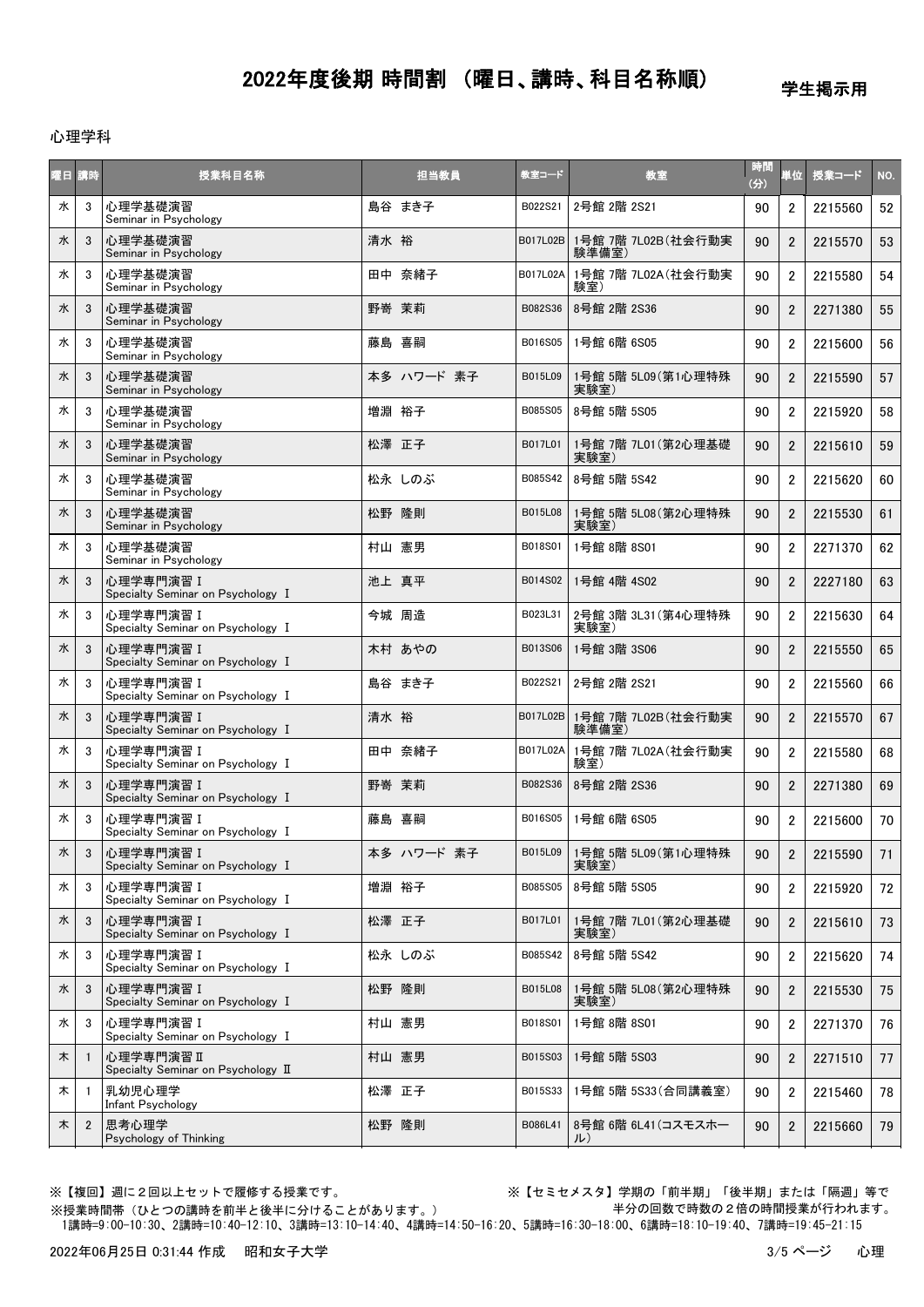学生掲示用

#### 心理学科

|   | 曜日 講時          | 授業科目名称                                           | 担当教員       | 教室コード    | 教室                                  | 時間<br>(3) | 首位             | 授業コード   | NO. |
|---|----------------|--------------------------------------------------|------------|----------|-------------------------------------|-----------|----------------|---------|-----|
| 水 | 3              | 心理学基礎演習<br>Seminar in Psychology                 | 島谷 まき子     | B022S21  | 2号館 2階 2S21                         | 90        | $\overline{2}$ | 2215560 | 52  |
| 水 | 3              | 心理学基礎演習<br>Seminar in Psychology                 | 清水 裕       | B017L02B | 1号館 7階 7L02B(社会行動実<br>験準備室)         | 90        | $\overline{2}$ | 2215570 | 53  |
| 水 | 3              | 心理学基礎演習<br>Seminar in Psychology                 | 田中 奈緒子     | B017L02A | 1号館 7階 7L02A(社会行動実<br>験室)           | 90        | $\overline{2}$ | 2215580 | 54  |
| 水 | 3              | 心理学基礎演習<br>Seminar in Psychology                 | 野嵜 茉莉      | B082S36  | 8号館 2階 2S36                         | 90        | $\overline{2}$ | 2271380 | 55  |
| 水 | 3              | 心理学基礎演習<br>Seminar in Psychology                 | 藤島 喜嗣      | B016S05  | 1号館 6階 6S05                         | 90        | $\overline{2}$ | 2215600 | 56  |
| 水 | 3              | 心理学基礎演習<br>Seminar in Psychology                 | 本多 ハワード 素子 | B015L09  | 1号館 5階 5L09 (第1心理特殊<br>実験室)         | 90        | 2              | 2215590 | 57  |
| 水 | 3              | 心理学基礎演習<br>Seminar in Psychology                 | 増淵 裕子      | B085S05  | 8号館 5階 5S05                         | 90        | $\overline{2}$ | 2215920 | 58  |
| 水 | 3              | 心理学基礎演習<br>Seminar in Psychology                 | 松澤 正子      | B017L01  | 1号館 7階 7L01 (第2心理基礎<br>実験室)         | 90        | $\overline{2}$ | 2215610 | 59  |
| 水 | 3              | 心理学基礎演習<br>Seminar in Psychology                 | 松永 しのぶ     | B085S42  | 8号館 5階 5S42                         | 90        | $\overline{2}$ | 2215620 | 60  |
| 水 | 3              | 心理学基礎演習<br>Seminar in Psychology                 | 松野 隆則      | B015L08  | 1号館 5階 5L08 (第2心理特殊<br>実験室)         | 90        | $\overline{2}$ | 2215530 | 61  |
| 水 | 3              | 心理学基礎演習<br>Seminar in Psychology                 | 村山 憲男      | B018S01  | 1号館 8階 8S01                         | 90        | $\overline{2}$ | 2271370 | 62  |
| 水 | 3              | 心理学専門演習 I<br>Specialty Seminar on Psychology I   | 池上 真平      | B014S02  | 1号館 4階 4S02                         | 90        | $\overline{2}$ | 2227180 | 63  |
| 水 | 3              | 心理学専門演習 I<br>Specialty Seminar on Psychology I   | 今城 周造      | B023L31  | 2号館 3階 3L31 (第4心理特殊<br>実験室)         | 90        | 2              | 2215630 | 64  |
| 水 | 3              | 心理学専門演習 I<br>Specialty Seminar on Psychology I   | 木村 あやの     | B013S06  | 1号館 3階 3S06                         | 90        | $\overline{2}$ | 2215550 | 65  |
| 水 | 3              | 心理学専門演習 I<br>Specialty Seminar on Psychology I   | 島谷 まき子     | B022S21  | 2号館 2階 2S21                         | 90        | $\overline{2}$ | 2215560 | 66  |
| 水 | 3              | 心理学専門演習 I<br>Specialty Seminar on Psychology I   | 清水 裕       | B017L02B | 1号館 7階 7L02B(社会行動実<br>験準備室)         | 90        | $\overline{2}$ | 2215570 | 67  |
| 水 | 3              | 心理学専門演習 I<br>Specialty Seminar on Psychology I   | 田中 奈緒子     | B017L02A | 1号館 7階 7L02A(社会行動実<br>験室)           | 90        | $\overline{2}$ | 2215580 | 68  |
| 水 | 3              | 心理学専門演習 I<br>Specialty Seminar on Psychology I   | 野嵜 茉莉      | B082S36  | 8号館 2階 2S36                         | 90        | $\overline{2}$ | 2271380 | 69  |
| 水 | 3              | 心理学専門演習 I<br>Specialty Seminar on Psychology I   | 藤島 喜嗣      | B016S05  | 1号館 6階 6S05                         | 90        | $\overline{2}$ | 2215600 | 70  |
| 水 | $\mathbf{3}$   | │心理学専門演習 I<br>Specialty Seminar on Psychology I  | 本多 ハワード 素子 |          | B015L09 1号館 5階 5L09 (第1心理特殊<br>実験室) | 90        | $2^{\circ}$    | 2215590 | 71  |
| 水 | 3              | 心理学専門演習 I<br>Specialty Seminar on Psychology I   | 増淵 裕子      | B085S05  | 8号館 5階 5S05                         | 90        | $\overline{2}$ | 2215920 | 72  |
| 水 | 3              | 心理学専門演習 I<br>Specialty Seminar on Psychology I   | 松澤 正子      | B017L01  | 1号館 7階 7L01(第2心理基礎<br>実験室)          | 90        | $\overline{2}$ | 2215610 | 73  |
| 水 | 3              | 心理学専門演習 I<br>Specialty Seminar on Psychology I   | 松永しのぶ      | B085S42  | 8号館 5階 5S42                         | 90        | $\overline{2}$ | 2215620 | 74  |
| 水 | 3              | 心理学専門演習 I<br>Specialty Seminar on Psychology I   | 松野 隆則      | B015L08  | 1号館 5階 5L08(第2心理特殊<br>実験室)          | 90        | $\overline{2}$ | 2215530 | 75  |
| 水 | 3              | 心理学専門演習 I<br>Specialty Seminar on Psychology I   | 村山 憲男      | B018S01  | 1号館 8階 8S01                         | 90        | $\overline{2}$ | 2271370 | 76  |
| 木 |                | 心理学専門演習 II<br>Specialty Seminar on Psychology II | 村山 憲男      | B015S03  | 1号館 5階 5S03                         | 90        | $\overline{2}$ | 2271510 | 77  |
| 木 | -1             | 乳幼児心理学<br>Infant Psychology                      | 松澤 正子      | B015S33  | 1号館 5階 5S33(合同講義室)                  | 90        | $\overline{2}$ | 2215460 | 78  |
| 木 | $\overline{2}$ | 思考心理学<br>Psychology of Thinking                  | 松野 隆則      | B086L41  | 8号館 6階 6L41 (コスモスホー<br>$J_{\nu}$    | 90        | $\overline{2}$ | 2215660 | 79  |

※授業時間帯(ひとつの講時を前半と後半に分けることがあります。)

※【複回】週に2回以上セットで履修する授業です。 ※【セミセメスタ】学期の「前半期」「後半期」または「隔週」等で 半分の回数で時数の2倍の時間授業が行われます。

1講時=9:00-10:30、2講時=10:40-12:10、3講時=13:10-14:40、4講時=14:50-16:20、5講時=16:30-18:00、6講時=18:10-19:40、7講時=19:45-21:15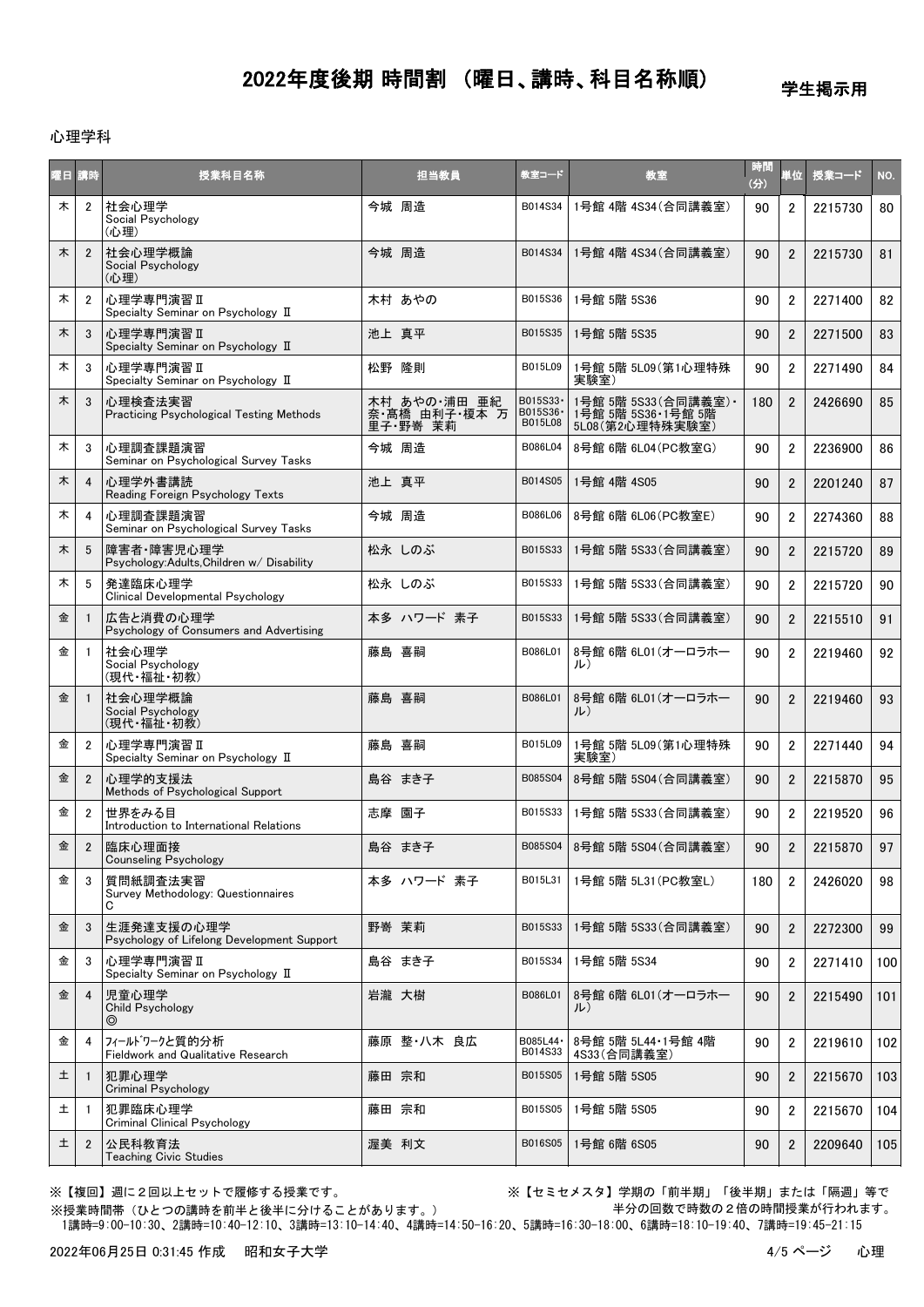学生掲示用

#### 心理学科

| 曜日 講時 |                | 授業科目名称                                                     | 担当教員                                     | 教室コード                           | 教室                                                            | 時間<br>(3) | 単位             | 授業コード   | NO. |
|-------|----------------|------------------------------------------------------------|------------------------------------------|---------------------------------|---------------------------------------------------------------|-----------|----------------|---------|-----|
| 木     | $\overline{2}$ | 社会心理学<br>Social Psychology<br>(心理)                         | 今城 周造                                    | B014S34                         | 1号館 4階 4S34 (合同講義室)                                           | 90        | $\overline{2}$ | 2215730 | 80  |
| 木     | $\overline{2}$ | 社会心理学概論<br>Social Psychology<br>(心理)                       | 今城 周浩                                    | B014S34                         | 1号館 4階 4S34(合同講義室)                                            | 90        | $\overline{2}$ | 2215730 | 81  |
| 木     | $\overline{2}$ | <b>心理学専門演習 II</b><br>Specialty Seminar on Psychology II    | 木村 あやの                                   | B015S36                         | 1号館 5階 5S36                                                   | 90        | $\overline{2}$ | 2271400 | 82  |
| 木     | 3              | 心理学専門演習 II<br>Specialty Seminar on Psychology II           | 池上 真平                                    | B015S35                         | 1号館 5階 5S35                                                   | 90        | $\overline{2}$ | 2271500 | 83  |
| 木     | 3              | <b>心理学専門演習 II</b><br>Specialty Seminar on Psychology II    | 松野 隆則                                    | B015L09                         | 1号館 5階 5L09 (第1心理特殊<br>実験室)                                   | 90        | $\overline{2}$ | 2271490 | 84  |
| 木     | 3              | 心理検査法実習<br>Practicing Psychological Testing Methods        | 木村 あやの 浦田 亜紀<br>奈·髙橋 由利子·榎本 万<br>里子野嵜 茉莉 | B015S33·<br>B015S36·<br>B015L08 | 1号館 5階 5S33(合同講義室) ·<br>1号館 5階 5S36 1号館 5階<br>5L08(第2心理特殊実験室) | 180       | $\overline{2}$ | 2426690 | 85  |
| 木     | 3              | 心理調査課題演習<br>Seminar on Psychological Survey Tasks          | 今城 周造                                    | B086L04                         | 8号館 6階 6L04(PC教室G)                                            | 90        | $\overline{2}$ | 2236900 | 86  |
| 木     | $\overline{4}$ | 心理学外書講読<br>Reading Foreign Psychology Texts                | 池上 真平                                    | B014S05                         | 1号館 4階 4S05                                                   | 90        | $\overline{2}$ | 2201240 | 87  |
| 木     | 4              | 心理調査課題演習<br>Seminar on Psychological Survey Tasks          | 今城 周造                                    | B086L06                         | 8号館 6階 6L06 (PC教室E)                                           | 90        | $\overline{2}$ | 2274360 | 88  |
| 木     | 5              | 障害者·障害児心理学<br>Psychology:Adults,Children w/ Disability     | 松永しのぶ                                    | B015S33                         | 1号館 5階 5S33 (合同講義室)                                           | 90        | $\overline{2}$ | 2215720 | 89  |
| 木     | 5              | 発達臨床心理学<br>Clinical Developmental Psychology               | 松永 しのぶ                                   | B015S33                         | 1号館 5階 5S33 (合同講義室)                                           | 90        | $\overline{2}$ | 2215720 | 90  |
| 金     |                | 広告と消費の心理学<br>Psychology of Consumers and Advertising       | 本多 ハワード 素子                               | B015S33                         | 1号館 5階 5S33(合同講義室)                                            | 90        | $\overline{2}$ | 2215510 | 91  |
| 金     | $\overline{1}$ | 社会心理学<br>Social Psychology<br>(現代・福祉・初教)                   | 藤島 喜嗣                                    | B086L01                         | 8号館 6階 6L01(オーロラホー<br>ル)                                      | 90        | $\overline{2}$ | 2219460 | 92  |
| 金     |                | 社会心理学概論<br>Social Psychology<br>(現代·福祉·初教)                 | 藤島 喜嗣                                    | B086L01                         | 8号館 6階 6L01(オーロラホー<br>ル)                                      | 90        | $\overline{2}$ | 2219460 | 93  |
| 金     | $\overline{2}$ | 心理学専門演習Ⅱ<br>Specialty Seminar on Psychology II             | 藤島 喜嗣                                    | B015L09                         | 1号館 5階 5L09(第1心理特殊<br>実験室)                                    | 90        | $\overline{2}$ | 2271440 | 94  |
| 金     | $\overline{2}$ | 心理学的支援法<br>Methods of Psychological Support                | 島谷 まき子                                   | B085S04                         | 8号館 5階 5S04 (合同講義室)                                           | 90        | $\overline{2}$ | 2215870 | 95  |
| 金     | $\overline{2}$ | 世界をみる目<br>Introduction to International Relations          | 志摩 園子                                    | B015S33                         | 1号館 5階 5S33(合同講義室)                                            | 90        | $\overline{2}$ | 2219520 | 96  |
| 金     | $\overline{2}$ | 臨床心理面接<br><b>Counseling Psychology</b>                     | 島谷 まき子                                   | B085S04                         | 8号館 5階 5S04(合同講義室)                                            | 90        | $\overline{2}$ | 2215870 | 97  |
| 金     | 3              | 質問紙調査法実習<br>Survey Methodology: Questionnaires<br>C        | 本多 ハワード 素子                               | B015L31                         | 1号館 5階 5L31 (PC教室L)                                           | 180       | $\overline{2}$ | 2426020 | 98  |
| 金     | 3              | 生涯発達支援の心理学<br>Psychology of Lifelong Development Support   | 野嵜 茉莉                                    | B015S33                         | 1号館 5階 5S33 (合同講義室)                                           | 90        | $\overline{2}$ | 2272300 | 99  |
| 金     | 3              | 心理学専門演習Ⅱ<br>Specialty Seminar on Psychology II             | 島谷 まき子                                   | B015S34                         | 1号館 5階 5S34                                                   | 90        | $\overline{2}$ | 2271410 | 100 |
| 金     | $\overline{4}$ | 児童心理学<br>Child Psychology<br>◎                             | 岩瀧 大樹                                    | B086L01                         | 8号館 6階 6L01(オーロラホー<br>ル)                                      | 90        | $\overline{2}$ | 2215490 | 101 |
| 金     | $\overline{4}$ | フィールドワークと質的分析<br><b>Fieldwork and Qualitative Research</b> | 藤原 整・八木 良広                               | B085L44 ·<br>B014S33            | 8号館 5階 5L44·1号館 4階<br>4S33(合同講義室)                             | 90        | $\overline{2}$ | 2219610 | 102 |
| 土     |                | 犯罪心理学<br>Criminal Psychology                               | 藤田 宗和                                    | B015S05                         | 1号館 5階 5S05                                                   | 90        | $\overline{2}$ | 2215670 | 103 |
| 土     | -1             | 犯罪臨床心理学<br><b>Criminal Clinical Psychology</b>             | 藤田 宗和                                    | B015S05                         | 1号館 5階 5S05                                                   | 90        | $\overline{2}$ | 2215670 | 104 |
| 土     | $\overline{2}$ | 公民科教育法<br><b>Teaching Civic Studies</b>                    | 渥美 利文                                    | B016S05                         | 1号館 6階 6S05                                                   | 90        | $\overline{2}$ | 2209640 | 105 |

※【複回】週に2回以上セットで履修する授業です。 ※【セミセメスタ】学期の「前半期」「後半期」または「隔週」等で 半分の回数で時数の2倍の時間授業が行われます。

 1講時=9:00-10:30、2講時=10:40-12:10、3講時=13:10-14:40、4講時=14:50-16:20、5講時=16:30-18:00、6講時=18:10-19:40、7講時=19:45-21:15 ※授業時間帯(ひとつの講時を前半と後半に分けることがあります。)